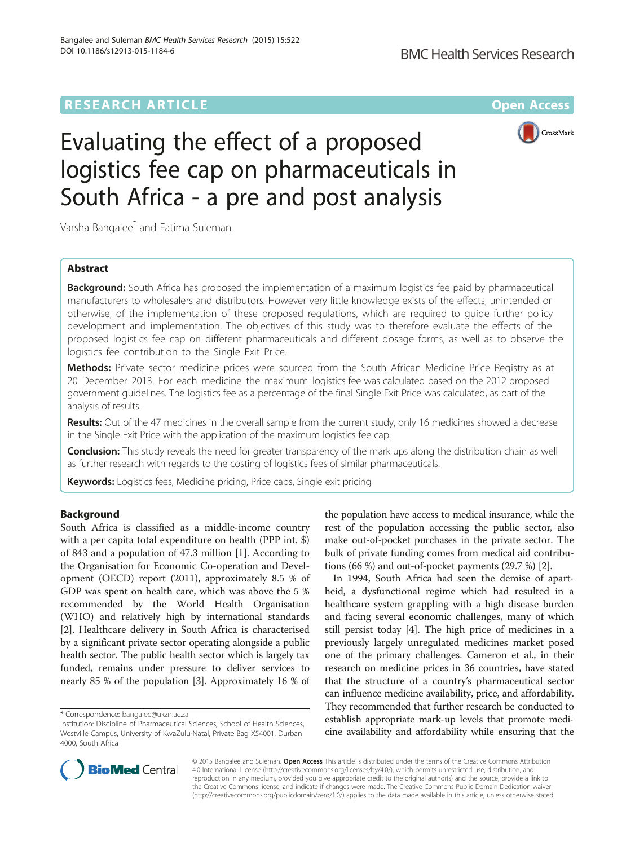# **RESEARCH ARTICLE Example 2014 12:30 The Contract of Contract ACCESS**



# Evaluating the effect of a proposed logistics fee cap on pharmaceuticals in South Africa - a pre and post analysis

Varsha Bangalee\* and Fatima Suleman

# Abstract

**Background:** South Africa has proposed the implementation of a maximum logistics fee paid by pharmaceutical manufacturers to wholesalers and distributors. However very little knowledge exists of the effects, unintended or otherwise, of the implementation of these proposed regulations, which are required to guide further policy development and implementation. The objectives of this study was to therefore evaluate the effects of the proposed logistics fee cap on different pharmaceuticals and different dosage forms, as well as to observe the logistics fee contribution to the Single Exit Price.

Methods: Private sector medicine prices were sourced from the South African Medicine Price Registry as at 20 December 2013. For each medicine the maximum logistics fee was calculated based on the 2012 proposed government guidelines. The logistics fee as a percentage of the final Single Exit Price was calculated, as part of the analysis of results.

Results: Out of the 47 medicines in the overall sample from the current study, only 16 medicines showed a decrease in the Single Exit Price with the application of the maximum logistics fee cap.

**Conclusion:** This study reveals the need for greater transparency of the mark ups along the distribution chain as well as further research with regards to the costing of logistics fees of similar pharmaceuticals.

Keywords: Logistics fees, Medicine pricing, Price caps, Single exit pricing

# Background

South Africa is classified as a middle-income country with a per capita total expenditure on health (PPP int. \$) of 843 and a population of 47.3 million [[1\]](#page-10-0). According to the Organisation for Economic Co-operation and Development (OECD) report (2011), approximately 8.5 % of GDP was spent on health care, which was above the 5 % recommended by the World Health Organisation (WHO) and relatively high by international standards [[2\]](#page-10-0). Healthcare delivery in South Africa is characterised by a significant private sector operating alongside a public health sector. The public health sector which is largely tax funded, remains under pressure to deliver services to nearly 85 % of the population [[3\]](#page-10-0). Approximately 16 % of the population have access to medical insurance, while the rest of the population accessing the public sector, also make out-of-pocket purchases in the private sector. The bulk of private funding comes from medical aid contributions (66 %) and out-of-pocket payments (29.7 %) [\[2](#page-10-0)].

In 1994, South Africa had seen the demise of apartheid, a dysfunctional regime which had resulted in a healthcare system grappling with a high disease burden and facing several economic challenges, many of which still persist today [[4\]](#page-10-0). The high price of medicines in a previously largely unregulated medicines market posed one of the primary challenges. Cameron et al., in their research on medicine prices in 36 countries, have stated that the structure of a country's pharmaceutical sector can influence medicine availability, price, and affordability. They recommended that further research be conducted to establish appropriate mark-up levels that promote medicine availability and affordability while ensuring that the



© 2015 Bangalee and Suleman. Open Access This article is distributed under the terms of the Creative Commons Attribution 4.0 International License ([http://creativecommons.org/licenses/by/4.0/\)](http://creativecommons.org/licenses/by/4.0/), which permits unrestricted use, distribution, and reproduction in any medium, provided you give appropriate credit to the original author(s) and the source, provide a link to the Creative Commons license, and indicate if changes were made. The Creative Commons Public Domain Dedication waiver [\(http://creativecommons.org/publicdomain/zero/1.0/](http://creativecommons.org/publicdomain/zero/1.0/)) applies to the data made available in this article, unless otherwise stated.

<sup>\*</sup> Correspondence: [bangalee@ukzn.ac.za](mailto:bangalee@ukzn.ac.za)

Institution: Discipline of Pharmaceutical Sciences, School of Health Sciences, Westville Campus, University of KwaZulu-Natal, Private Bag X54001, Durban 4000, South Africa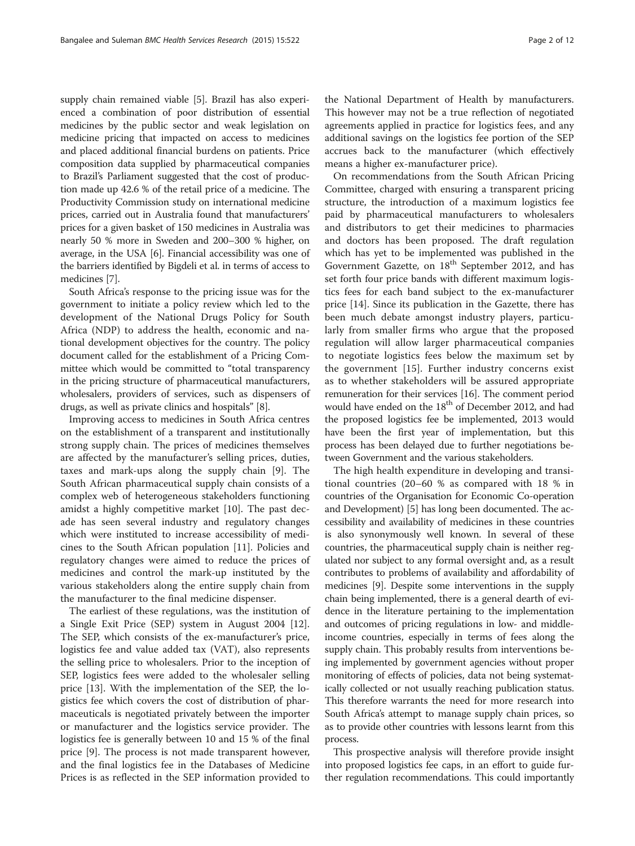supply chain remained viable [\[5](#page-10-0)]. Brazil has also experienced a combination of poor distribution of essential medicines by the public sector and weak legislation on medicine pricing that impacted on access to medicines and placed additional financial burdens on patients. Price composition data supplied by pharmaceutical companies to Brazil's Parliament suggested that the cost of production made up 42.6 % of the retail price of a medicine. The Productivity Commission study on international medicine prices, carried out in Australia found that manufacturers' prices for a given basket of 150 medicines in Australia was nearly 50 % more in Sweden and 200–300 % higher, on average, in the USA [[6\]](#page-10-0). Financial accessibility was one of the barriers identified by Bigdeli et al. in terms of access to medicines [[7](#page-10-0)].

South Africa's response to the pricing issue was for the government to initiate a policy review which led to the development of the National Drugs Policy for South Africa (NDP) to address the health, economic and national development objectives for the country. The policy document called for the establishment of a Pricing Committee which would be committed to "total transparency in the pricing structure of pharmaceutical manufacturers, wholesalers, providers of services, such as dispensers of drugs, as well as private clinics and hospitals" [\[8](#page-10-0)].

Improving access to medicines in South Africa centres on the establishment of a transparent and institutionally strong supply chain. The prices of medicines themselves are affected by the manufacturer's selling prices, duties, taxes and mark-ups along the supply chain [\[9](#page-10-0)]. The South African pharmaceutical supply chain consists of a complex web of heterogeneous stakeholders functioning amidst a highly competitive market [[10\]](#page-10-0). The past decade has seen several industry and regulatory changes which were instituted to increase accessibility of medicines to the South African population [\[11\]](#page-10-0). Policies and regulatory changes were aimed to reduce the prices of medicines and control the mark-up instituted by the various stakeholders along the entire supply chain from the manufacturer to the final medicine dispenser.

The earliest of these regulations, was the institution of a Single Exit Price (SEP) system in August 2004 [\[12](#page-10-0)]. The SEP, which consists of the ex-manufacturer's price, logistics fee and value added tax (VAT), also represents the selling price to wholesalers. Prior to the inception of SEP, logistics fees were added to the wholesaler selling price [[13\]](#page-10-0). With the implementation of the SEP, the logistics fee which covers the cost of distribution of pharmaceuticals is negotiated privately between the importer or manufacturer and the logistics service provider. The logistics fee is generally between 10 and 15 % of the final price [[9\]](#page-10-0). The process is not made transparent however, and the final logistics fee in the Databases of Medicine Prices is as reflected in the SEP information provided to

the National Department of Health by manufacturers. This however may not be a true reflection of negotiated agreements applied in practice for logistics fees, and any additional savings on the logistics fee portion of the SEP accrues back to the manufacturer (which effectively means a higher ex-manufacturer price).

On recommendations from the South African Pricing Committee, charged with ensuring a transparent pricing structure, the introduction of a maximum logistics fee paid by pharmaceutical manufacturers to wholesalers and distributors to get their medicines to pharmacies and doctors has been proposed. The draft regulation which has yet to be implemented was published in the Government Gazette, on 18<sup>th</sup> September 2012, and has set forth four price bands with different maximum logistics fees for each band subject to the ex-manufacturer price [\[14](#page-10-0)]. Since its publication in the Gazette, there has been much debate amongst industry players, particularly from smaller firms who argue that the proposed regulation will allow larger pharmaceutical companies to negotiate logistics fees below the maximum set by the government [[15](#page-10-0)]. Further industry concerns exist as to whether stakeholders will be assured appropriate remuneration for their services [\[16\]](#page-10-0). The comment period would have ended on the 18<sup>th</sup> of December 2012, and had the proposed logistics fee be implemented, 2013 would have been the first year of implementation, but this process has been delayed due to further negotiations between Government and the various stakeholders.

The high health expenditure in developing and transitional countries (20–60 % as compared with 18 % in countries of the Organisation for Economic Co-operation and Development) [[5\]](#page-10-0) has long been documented. The accessibility and availability of medicines in these countries is also synonymously well known. In several of these countries, the pharmaceutical supply chain is neither regulated nor subject to any formal oversight and, as a result contributes to problems of availability and affordability of medicines [\[9](#page-10-0)]. Despite some interventions in the supply chain being implemented, there is a general dearth of evidence in the literature pertaining to the implementation and outcomes of pricing regulations in low- and middleincome countries, especially in terms of fees along the supply chain. This probably results from interventions being implemented by government agencies without proper monitoring of effects of policies, data not being systematically collected or not usually reaching publication status. This therefore warrants the need for more research into South Africa's attempt to manage supply chain prices, so as to provide other countries with lessons learnt from this process.

This prospective analysis will therefore provide insight into proposed logistics fee caps, in an effort to guide further regulation recommendations. This could importantly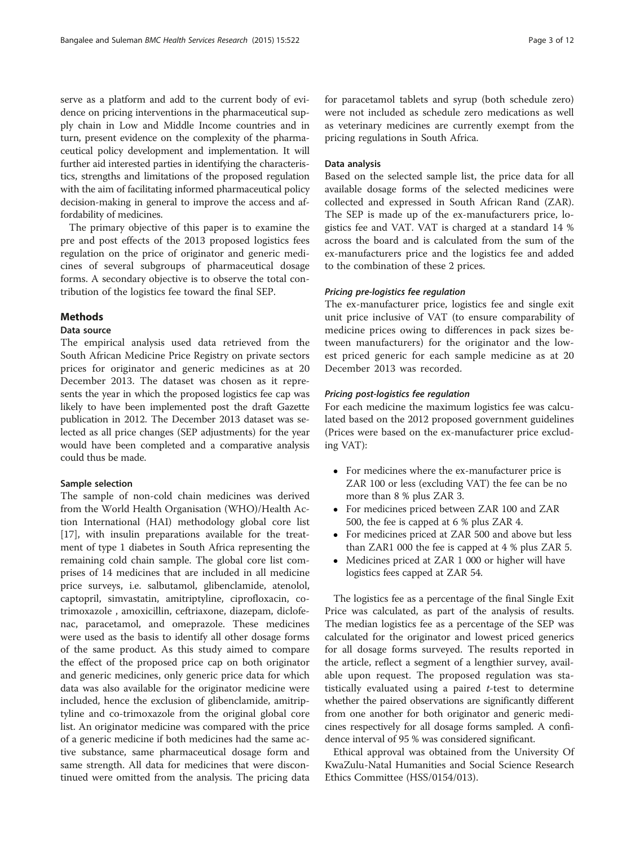serve as a platform and add to the current body of evidence on pricing interventions in the pharmaceutical supply chain in Low and Middle Income countries and in turn, present evidence on the complexity of the pharmaceutical policy development and implementation. It will further aid interested parties in identifying the characteristics, strengths and limitations of the proposed regulation with the aim of facilitating informed pharmaceutical policy decision-making in general to improve the access and affordability of medicines.

The primary objective of this paper is to examine the pre and post effects of the 2013 proposed logistics fees regulation on the price of originator and generic medicines of several subgroups of pharmaceutical dosage forms. A secondary objective is to observe the total contribution of the logistics fee toward the final SEP.

# **Methods**

### Data source

The empirical analysis used data retrieved from the South African Medicine Price Registry on private sectors prices for originator and generic medicines as at 20 December 2013. The dataset was chosen as it represents the year in which the proposed logistics fee cap was likely to have been implemented post the draft Gazette publication in 2012. The December 2013 dataset was selected as all price changes (SEP adjustments) for the year would have been completed and a comparative analysis could thus be made.

# Sample selection

The sample of non-cold chain medicines was derived from the World Health Organisation (WHO)/Health Action International (HAI) methodology global core list [[17\]](#page-10-0), with insulin preparations available for the treatment of type 1 diabetes in South Africa representing the remaining cold chain sample. The global core list comprises of 14 medicines that are included in all medicine price surveys, i.e. salbutamol, glibenclamide, atenolol, captopril, simvastatin, amitriptyline, ciprofloxacin, cotrimoxazole , amoxicillin, ceftriaxone, diazepam, diclofenac, paracetamol, and omeprazole. These medicines were used as the basis to identify all other dosage forms of the same product. As this study aimed to compare the effect of the proposed price cap on both originator and generic medicines, only generic price data for which data was also available for the originator medicine were included, hence the exclusion of glibenclamide, amitriptyline and co-trimoxazole from the original global core list. An originator medicine was compared with the price of a generic medicine if both medicines had the same active substance, same pharmaceutical dosage form and same strength. All data for medicines that were discontinued were omitted from the analysis. The pricing data for paracetamol tablets and syrup (both schedule zero) were not included as schedule zero medications as well as veterinary medicines are currently exempt from the pricing regulations in South Africa.

# Data analysis

Based on the selected sample list, the price data for all available dosage forms of the selected medicines were collected and expressed in South African Rand (ZAR). The SEP is made up of the ex-manufacturers price, logistics fee and VAT. VAT is charged at a standard 14 % across the board and is calculated from the sum of the ex-manufacturers price and the logistics fee and added to the combination of these 2 prices.

The ex-manufacturer price, logistics fee and single exit unit price inclusive of VAT (to ensure comparability of medicine prices owing to differences in pack sizes between manufacturers) for the originator and the lowest priced generic for each sample medicine as at 20 December 2013 was recorded.

For each medicine the maximum logistics fee was calculated based on the 2012 proposed government guidelines (Prices were based on the ex-manufacturer price excluding VAT):

- For medicines where the ex-manufacturer price is ZAR 100 or less (excluding VAT) the fee can be no more than 8 % plus ZAR 3.
- For medicines priced between ZAR 100 and ZAR 500, the fee is capped at 6 % plus ZAR 4.
- For medicines priced at ZAR 500 and above but less than ZAR1 000 the fee is capped at 4 % plus ZAR 5.
- Medicines priced at ZAR 1 000 or higher will have logistics fees capped at ZAR 54.

The logistics fee as a percentage of the final Single Exit Price was calculated, as part of the analysis of results. The median logistics fee as a percentage of the SEP was calculated for the originator and lowest priced generics for all dosage forms surveyed. The results reported in the article, reflect a segment of a lengthier survey, available upon request. The proposed regulation was statistically evaluated using a paired  $t$ -test to determine whether the paired observations are significantly different from one another for both originator and generic medicines respectively for all dosage forms sampled. A confidence interval of 95 % was considered significant.

Ethical approval was obtained from the University Of KwaZulu-Natal Humanities and Social Science Research Ethics Committee (HSS/0154/013).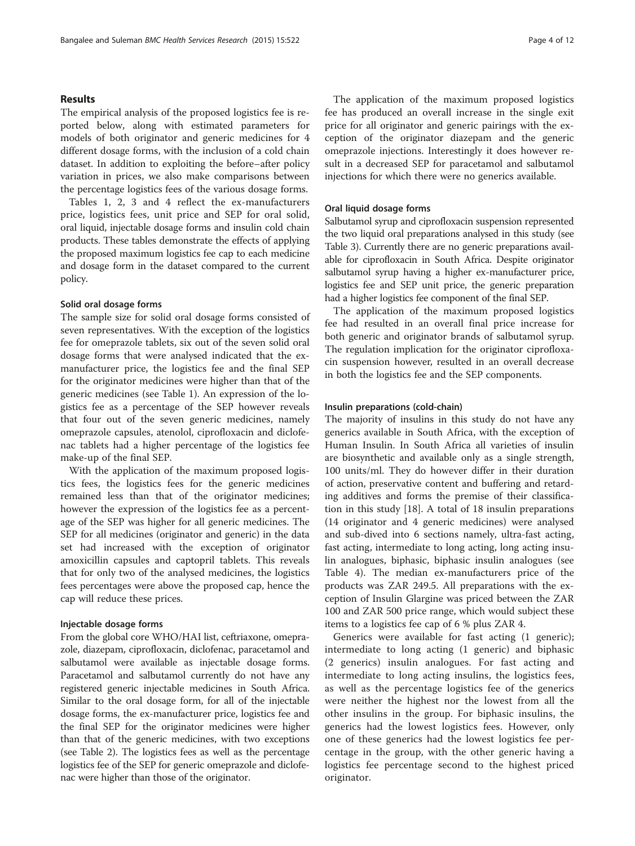# Results

The empirical analysis of the proposed logistics fee is reported below, along with estimated parameters for models of both originator and generic medicines for 4 different dosage forms, with the inclusion of a cold chain dataset. In addition to exploiting the before–after policy variation in prices, we also make comparisons between the percentage logistics fees of the various dosage forms.

Tables [1,](#page-4-0) [2](#page-5-0), [3](#page-6-0) and [4](#page-7-0) reflect the ex-manufacturers price, logistics fees, unit price and SEP for oral solid, oral liquid, injectable dosage forms and insulin cold chain products. These tables demonstrate the effects of applying the proposed maximum logistics fee cap to each medicine and dosage form in the dataset compared to the current policy.

# Solid oral dosage forms

The sample size for solid oral dosage forms consisted of seven representatives. With the exception of the logistics fee for omeprazole tablets, six out of the seven solid oral dosage forms that were analysed indicated that the exmanufacturer price, the logistics fee and the final SEP for the originator medicines were higher than that of the generic medicines (see Table [1\)](#page-4-0). An expression of the logistics fee as a percentage of the SEP however reveals that four out of the seven generic medicines, namely omeprazole capsules, atenolol, ciprofloxacin and diclofenac tablets had a higher percentage of the logistics fee make-up of the final SEP.

With the application of the maximum proposed logistics fees, the logistics fees for the generic medicines remained less than that of the originator medicines; however the expression of the logistics fee as a percentage of the SEP was higher for all generic medicines. The SEP for all medicines (originator and generic) in the data set had increased with the exception of originator amoxicillin capsules and captopril tablets. This reveals that for only two of the analysed medicines, the logistics fees percentages were above the proposed cap, hence the cap will reduce these prices.

# Injectable dosage forms

From the global core WHO/HAI list, ceftriaxone, omeprazole, diazepam, ciprofloxacin, diclofenac, paracetamol and salbutamol were available as injectable dosage forms. Paracetamol and salbutamol currently do not have any registered generic injectable medicines in South Africa. Similar to the oral dosage form, for all of the injectable dosage forms, the ex-manufacturer price, logistics fee and the final SEP for the originator medicines were higher than that of the generic medicines, with two exceptions (see Table [2](#page-5-0)). The logistics fees as well as the percentage logistics fee of the SEP for generic omeprazole and diclofenac were higher than those of the originator.

The application of the maximum proposed logistics fee has produced an overall increase in the single exit price for all originator and generic pairings with the exception of the originator diazepam and the generic omeprazole injections. Interestingly it does however result in a decreased SEP for paracetamol and salbutamol injections for which there were no generics available.

# Oral liquid dosage forms

Salbutamol syrup and ciprofloxacin suspension represented the two liquid oral preparations analysed in this study (see Table [3\)](#page-6-0). Currently there are no generic preparations available for ciprofloxacin in South Africa. Despite originator salbutamol syrup having a higher ex-manufacturer price, logistics fee and SEP unit price, the generic preparation had a higher logistics fee component of the final SEP.

The application of the maximum proposed logistics fee had resulted in an overall final price increase for both generic and originator brands of salbutamol syrup. The regulation implication for the originator ciprofloxacin suspension however, resulted in an overall decrease in both the logistics fee and the SEP components.

# Insulin preparations (cold-chain)

The majority of insulins in this study do not have any generics available in South Africa, with the exception of Human Insulin. In South Africa all varieties of insulin are biosynthetic and available only as a single strength, 100 units/ml. They do however differ in their duration of action, preservative content and buffering and retarding additives and forms the premise of their classification in this study [[18\]](#page-10-0). A total of 18 insulin preparations (14 originator and 4 generic medicines) were analysed and sub-dived into 6 sections namely, ultra-fast acting, fast acting, intermediate to long acting, long acting insulin analogues, biphasic, biphasic insulin analogues (see Table [4\)](#page-7-0). The median ex-manufacturers price of the products was ZAR 249.5. All preparations with the exception of Insulin Glargine was priced between the ZAR 100 and ZAR 500 price range, which would subject these items to a logistics fee cap of 6 % plus ZAR 4.

Generics were available for fast acting (1 generic); intermediate to long acting (1 generic) and biphasic (2 generics) insulin analogues. For fast acting and intermediate to long acting insulins, the logistics fees, as well as the percentage logistics fee of the generics were neither the highest nor the lowest from all the other insulins in the group. For biphasic insulins, the generics had the lowest logistics fees. However, only one of these generics had the lowest logistics fee percentage in the group, with the other generic having a logistics fee percentage second to the highest priced originator.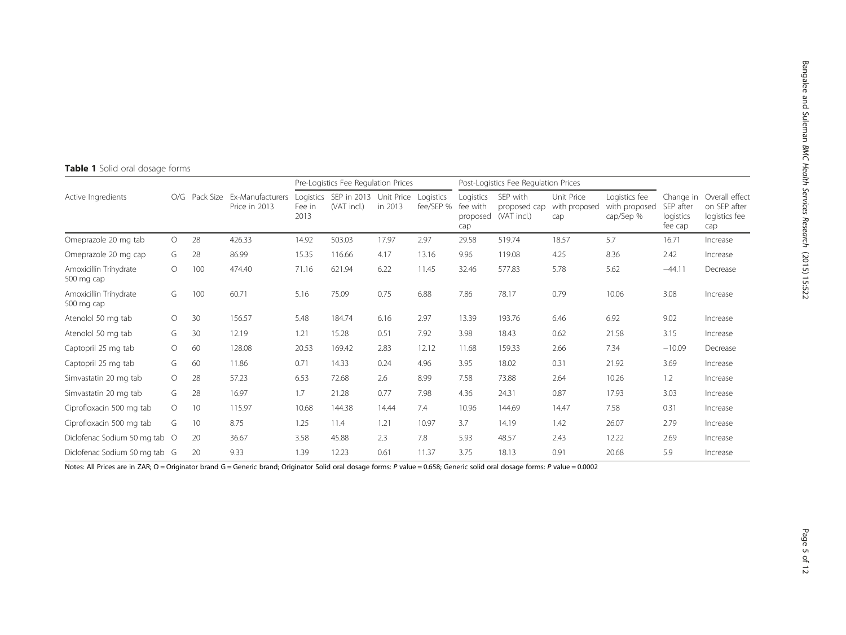# <span id="page-4-0"></span>Table 1 Solid oral dosage forms

|                                      |         |           | Pre-Logistics Fee Regulation Prices |                             |                                       |         | Post-Logistics Fee Regulation Prices |                                          |                                         |                                    |                                             |                                                |                                                        |
|--------------------------------------|---------|-----------|-------------------------------------|-----------------------------|---------------------------------------|---------|--------------------------------------|------------------------------------------|-----------------------------------------|------------------------------------|---------------------------------------------|------------------------------------------------|--------------------------------------------------------|
| Active Ingredients                   | O/G     | Pack Size | Ex-Manufacturers<br>Price in 2013   | Logistics<br>Fee in<br>2013 | SEP in 2013 Unit Price<br>(VAT incl.) | in 2013 | Logistics<br>fee/SEP %               | Logistics<br>fee with<br>proposed<br>cap | SEP with<br>proposed cap<br>(VAT incl.) | Unit Price<br>with proposed<br>cap | Logistics fee<br>with proposed<br>cap/Sep % | Change in<br>SEP after<br>logistics<br>fee cap | Overall effect<br>on SEP after<br>logistics fee<br>cap |
| Omeprazole 20 mg tab                 | $\circ$ | 28        | 426.33                              | 14.92                       | 503.03                                | 17.97   | 2.97                                 | 29.58                                    | 519.74                                  | 18.57                              | 5.7                                         | 16.71                                          | Increase                                               |
| Omeprazole 20 mg cap                 | G       | 28        | 86.99                               | 15.35                       | 116.66                                | 4.17    | 13.16                                | 9.96                                     | 119.08                                  | 4.25                               | 8.36                                        | 2.42                                           | Increase                                               |
| Amoxicillin Trihydrate<br>500 mg cap | O       | 100       | 474.40                              | 71.16                       | 621.94                                | 6.22    | 11.45                                | 32.46                                    | 577.83                                  | 5.78                               | 5.62                                        | $-44.11$                                       | Decrease                                               |
| Amoxicillin Trihydrate<br>500 mg cap | G       | 100       | 60.71                               | 5.16                        | 75.09                                 | 0.75    | 6.88                                 | 7.86                                     | 78.17                                   | 0.79                               | 10.06                                       | 3.08                                           | Increase                                               |
| Atenolol 50 mg tab                   | О       | 30        | 156.57                              | 5.48                        | 184.74                                | 6.16    | 2.97                                 | 13.39                                    | 193.76                                  | 6.46                               | 6.92                                        | 9.02                                           | Increase                                               |
| Atenolol 50 mg tab                   | G       | 30        | 12.19                               | 1.21                        | 15.28                                 | 0.51    | 7.92                                 | 3.98                                     | 18.43                                   | 0.62                               | 21.58                                       | 3.15                                           | Increase                                               |
| Captopril 25 mg tab                  | O       | 60        | 128.08                              | 20.53                       | 169.42                                | 2.83    | 12.12                                | 11.68                                    | 159.33                                  | 2.66                               | 7.34                                        | $-10.09$                                       | Decrease                                               |
| Captopril 25 mg tab                  | G       | 60        | 11.86                               | 0.71                        | 14.33                                 | 0.24    | 4.96                                 | 3.95                                     | 18.02                                   | 0.31                               | 21.92                                       | 3.69                                           | Increase                                               |
| Simvastatin 20 mg tab                | $\circ$ | 28        | 57.23                               | 6.53                        | 72.68                                 | 2.6     | 8.99                                 | 7.58                                     | 73.88                                   | 2.64                               | 10.26                                       | 1.2                                            | Increase                                               |
| Simvastatin 20 mg tab                | G       | 28        | 16.97                               | 1.7                         | 21.28                                 | 0.77    | 7.98                                 | 4.36                                     | 24.31                                   | 0.87                               | 17.93                                       | 3.03                                           | Increase                                               |
| Ciprofloxacin 500 mg tab             | 0       | 10        | 115.97                              | 10.68                       | 144.38                                | 14.44   | 7.4                                  | 10.96                                    | 144.69                                  | 14.47                              | 7.58                                        | 0.31                                           | Increase                                               |
| Ciprofloxacin 500 mg tab             | G       | 10        | 8.75                                | 1.25                        | 11.4                                  | 1.21    | 10.97                                | 3.7                                      | 14.19                                   | 1.42                               | 26.07                                       | 2.79                                           | Increase                                               |
| Diclofenac Sodium 50 mg tab O        |         | 20        | 36.67                               | 3.58                        | 45.88                                 | 2.3     | 7.8                                  | 5.93                                     | 48.57                                   | 2.43                               | 12.22                                       | 2.69                                           | Increase                                               |
| Diclofenac Sodium 50 mg tab G        |         | 20        | 9.33                                | 1.39                        | 12.23                                 | 0.61    | 11.37                                | 3.75                                     | 18.13                                   | 0.91                               | 20.68                                       | 5.9                                            | Increase                                               |

Notes: All Prices are in ZAR; O = Originator brand G = Generic brand; Originator Solid oral dosage forms: P value = 0.658; Generic solid oral dosage forms: P value = 0.0002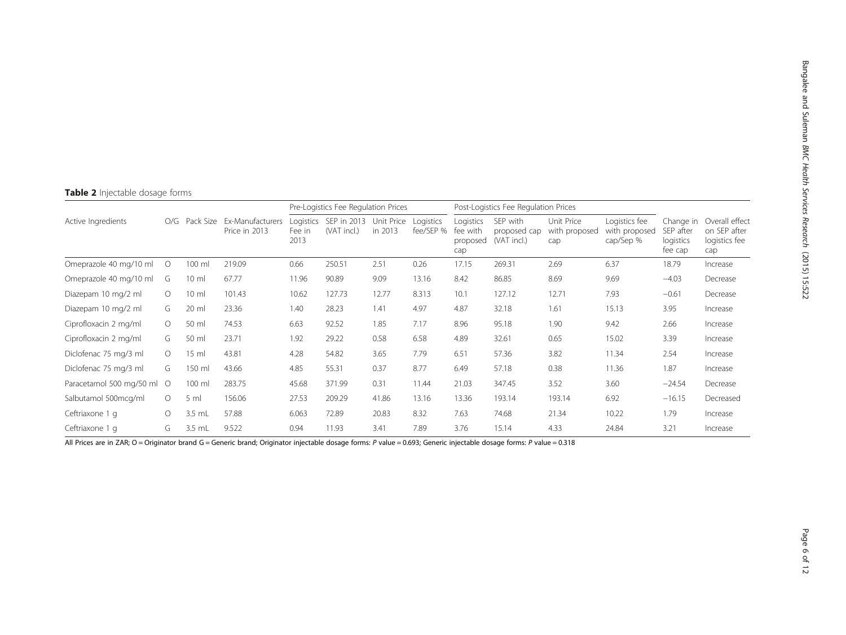# <span id="page-5-0"></span>Table 2 Injectable dosage forms

|                          |            |                 |                                   | Pre-Logistics Fee Regulation Prices |                            |                       |                        | Post-Logistics Fee Regulation Prices     |                                         |                                    |                                             |                                                |                                                        |
|--------------------------|------------|-----------------|-----------------------------------|-------------------------------------|----------------------------|-----------------------|------------------------|------------------------------------------|-----------------------------------------|------------------------------------|---------------------------------------------|------------------------------------------------|--------------------------------------------------------|
| Active Ingredients       | O/G        | Pack Size       | Ex-Manufacturers<br>Price in 2013 | Logistics<br>Fee in<br>2013         | SEP in 2013<br>(VAT incl.) | Unit Price<br>in 2013 | Logistics<br>fee/SEP % | Logistics<br>fee with<br>proposed<br>cap | SEP with<br>proposed cap<br>(VAT incl.) | Unit Price<br>with proposed<br>cap | Logistics fee<br>with proposed<br>cap/Sep % | Change in<br>SEP after<br>logistics<br>fee cap | Overall effect<br>on SEP after<br>logistics fee<br>cap |
| Omeprazole 40 mg/10 ml   | $\circ$    | 100 ml          | 219.09                            | 0.66                                | 250.51                     | 2.51                  | 0.26                   | 17.15                                    | 269.31                                  | 2.69                               | 6.37                                        | 18.79                                          | Increase                                               |
| Omeprazole 40 mg/10 ml   | G          | $10 \mathrm{m}$ | 67.77                             | 11.96                               | 90.89                      | 9.09                  | 13.16                  | 8.42                                     | 86.85                                   | 8.69                               | 9.69                                        | $-4.03$                                        | Decrease                                               |
| Diazepam 10 mg/2 ml      | $\bigcirc$ | $10 \mathrm{m}$ | 101.43                            | 10.62                               | 127.73                     | 12.77                 | 8.313                  | 10.1                                     | 127.12                                  | 12.71                              | 7.93                                        | $-0.61$                                        | Decrease                                               |
| Diazepam 10 mg/2 ml      | G          | 20 ml           | 23.36                             | 1.40                                | 28.23                      | 1.41                  | 4.97                   | 4.87                                     | 32.18                                   | 1.61                               | 15.13                                       | 3.95                                           | Increase                                               |
| Ciprofloxacin 2 mg/ml    | $\Omega$   | 50 ml           | 74.53                             | 6.63                                | 92.52                      | 1.85                  | 7.17                   | 8.96                                     | 95.18                                   | 1.90                               | 9.42                                        | 2.66                                           | Increase                                               |
| Ciprofloxacin 2 mg/ml    | G          | 50 ml           | 23.71                             | 1.92                                | 29.22                      | 0.58                  | 6.58                   | 4.89                                     | 32.61                                   | 0.65                               | 15.02                                       | 3.39                                           | Increase                                               |
| Diclofenac 75 mg/3 ml    | $\bigcirc$ | 15 ml           | 43.81                             | 4.28                                | 54.82                      | 3.65                  | 7.79                   | 6.51                                     | 57.36                                   | 3.82                               | 11.34                                       | 2.54                                           | Increase                                               |
| Diclofenac 75 mg/3 ml    | G          | 150 ml          | 43.66                             | 4.85                                | 55.31                      | 0.37                  | 8.77                   | 6.49                                     | 57.18                                   | 0.38                               | 11.36                                       | 1.87                                           | Increase                                               |
| Paracetamol 500 mg/50 ml | $\circ$    | 100 ml          | 283.75                            | 45.68                               | 371.99                     | 0.31                  | 11.44                  | 21.03                                    | 347.45                                  | 3.52                               | 3.60                                        | $-24.54$                                       | Decrease                                               |
| Salbutamol 500mcg/ml     | $\bigcirc$ | $5 \text{ ml}$  | 156.06                            | 27.53                               | 209.29                     | 41.86                 | 13.16                  | 13.36                                    | 193.14                                  | 193.14                             | 6.92                                        | $-16.15$                                       | Decreased                                              |
| Ceftriaxone 1 q          | $\circ$    | 3.5 mL          | 57.88                             | 6.063                               | 72.89                      | 20.83                 | 8.32                   | 7.63                                     | 74.68                                   | 21.34                              | 10.22                                       | 1.79                                           | Increase                                               |
| Ceftriaxone 1 q          | G          | 3.5 mL          | 9.522                             | 0.94                                | 11.93                      | 3.41                  | 7.89                   | 3.76                                     | 15.14                                   | 4.33                               | 24.84                                       | 3.21                                           | Increase                                               |

All Prices are in ZAR; O = Originator brand G = Generic brand; Originator injectable dosage forms: P value = 0.693; Generic injectable dosage forms: P value = 0.318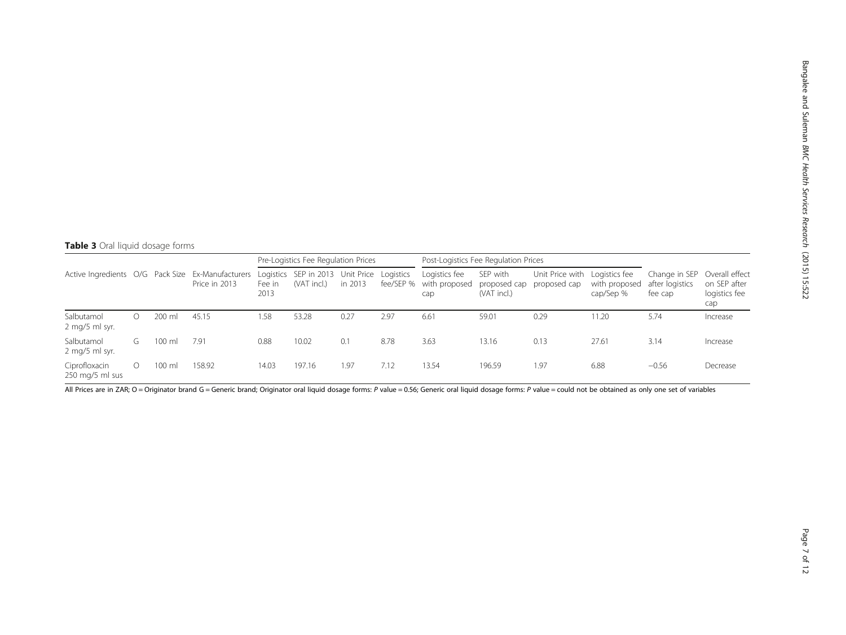# <span id="page-6-0"></span>Table 3 Oral liquid dosage forms

|                                                    |            |                  |               | Pre-Logistics Fee Regulation Prices |                                                 |         | Post-Logistics Fee Regulation Prices |                                       |                                         |                                 |                                             |                                             |                                                        |
|----------------------------------------------------|------------|------------------|---------------|-------------------------------------|-------------------------------------------------|---------|--------------------------------------|---------------------------------------|-----------------------------------------|---------------------------------|---------------------------------------------|---------------------------------------------|--------------------------------------------------------|
| Active Ingredients O/G Pack Size Ex-Manufacturers  |            |                  | Price in 2013 | Fee in<br>2013                      | Logistics SEP in 2013 Unit Price<br>(VAT incl.) | in 2013 | Loaistics<br>fee/SEP %               | Logistics fee<br>with proposed<br>cap | SEP with<br>proposed cap<br>(VAT incl.) | Unit Price with<br>proposed cap | Logistics fee<br>with proposed<br>cap/Sep % | Change in SEP<br>after logistics<br>fee cap | Overall effect<br>on SEP after<br>logistics fee<br>cap |
| Salbutamol<br>2 mg/5 ml syr.                       | $\bigcirc$ | 200 ml           | 45.15         | . 58                                | 53.28                                           | 0.27    | 2.97                                 | 6.61                                  | 59.01                                   | 0.29                            | 11.20                                       | 5.74                                        | Increase                                               |
| Salbutamol<br>2 mg/5 ml syr.                       | (п.        | $100 \mathrm{m}$ | 7.91          | 0.88                                | 10.02                                           | 0.1     | 8.78                                 | 3.63                                  | 13.16                                   | 0.13                            | 27.61                                       | 3.14                                        | Increase                                               |
| Ciprofloxacin<br>$250 \text{ mg}/5 \text{ ml}$ sus | Ω          | $100$ ml         | 158.92        | 14.03                               | 197.16                                          | 1.97    | 7.12                                 | 13.54                                 | 196.59                                  | 1.97                            | 6.88                                        | $-0.56$                                     | Decrease                                               |

All Prices are in ZAR; O = Originator brand G = Generic brand; Originator oral liquid dosage forms: P value = 0.56; Generic oral liquid dosage forms: P value = could not be obtained as only one set of variables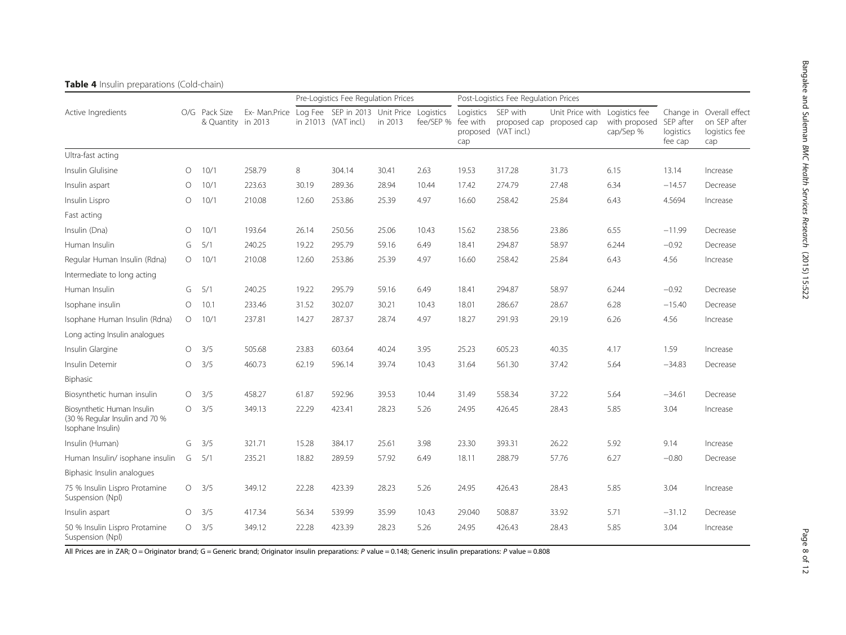<span id="page-7-0"></span>

|                                                                                   |         | O/G Pack Size<br>& Quantity in 2013 | Ex- Man.Price Log Fee SEP in 2013 Unit Price Logistics | Pre-Logistics Fee Regulation Prices |                      |         | Post-Logistics Fee Regulation Prices |                              |                                  |                                              |                                             |                                   |                                                                  |
|-----------------------------------------------------------------------------------|---------|-------------------------------------|--------------------------------------------------------|-------------------------------------|----------------------|---------|--------------------------------------|------------------------------|----------------------------------|----------------------------------------------|---------------------------------------------|-----------------------------------|------------------------------------------------------------------|
| Active Ingredients                                                                |         |                                     |                                                        |                                     | in 21013 (VAT incl.) | in 2013 | fee/SEP %                            | Logistics<br>fee with<br>cap | SEP with<br>proposed (VAT incl.) | Unit Price with<br>proposed cap proposed cap | Logistics fee<br>with proposed<br>cap/Sep % | SEP after<br>logistics<br>fee cap | Change in Overall effect<br>on SEP after<br>logistics fee<br>cap |
| Ultra-fast acting                                                                 |         |                                     |                                                        |                                     |                      |         |                                      |                              |                                  |                                              |                                             |                                   |                                                                  |
| Insulin Glulisine                                                                 | $\circ$ | 10/1                                | 258.79                                                 | 8                                   | 304.14               | 30.41   | 2.63                                 | 19.53                        | 317.28                           | 31.73                                        | 6.15                                        | 13.14                             | Increase                                                         |
| Insulin aspart                                                                    | $\circ$ | 10/1                                | 223.63                                                 | 30.19                               | 289.36               | 28.94   | 10.44                                | 17.42                        | 274.79                           | 27.48                                        | 6.34                                        | $-14.57$                          | Decrease                                                         |
| Insulin Lispro                                                                    | $\circ$ | 10/1                                | 210.08                                                 | 12.60                               | 253.86               | 25.39   | 4.97                                 | 16.60                        | 258.42                           | 25.84                                        | 6.43                                        | 4.5694                            | Increase                                                         |
| Fast acting                                                                       |         |                                     |                                                        |                                     |                      |         |                                      |                              |                                  |                                              |                                             |                                   |                                                                  |
| Insulin (Dna)                                                                     | $\circ$ | 10/1                                | 193.64                                                 | 26.14                               | 250.56               | 25.06   | 10.43                                | 15.62                        | 238.56                           | 23.86                                        | 6.55                                        | $-11.99$                          | Decrease                                                         |
| Human Insulin                                                                     | G       | 5/1                                 | 240.25                                                 | 19.22                               | 295.79               | 59.16   | 6.49                                 | 18.41                        | 294.87                           | 58.97                                        | 6.244                                       | $-0.92$                           | Decrease                                                         |
| Regular Human Insulin (Rdna)                                                      | $\circ$ | 10/1                                | 210.08                                                 | 12.60                               | 253.86               | 25.39   | 4.97                                 | 16.60                        | 258.42                           | 25.84                                        | 6.43                                        | 4.56                              | Increase                                                         |
| Intermediate to long acting                                                       |         |                                     |                                                        |                                     |                      |         |                                      |                              |                                  |                                              |                                             |                                   |                                                                  |
| Human Insulin                                                                     | G       | 5/1                                 | 240.25                                                 | 19.22                               | 295.79               | 59.16   | 6.49                                 | 18.41                        | 294.87                           | 58.97                                        | 6.244                                       | $-0.92$                           | Decrease                                                         |
| Isophane insulin                                                                  | $\circ$ | 10.1                                | 233.46                                                 | 31.52                               | 302.07               | 30.21   | 10.43                                | 18.01                        | 286.67                           | 28.67                                        | 6.28                                        | $-15.40$                          | Decrease                                                         |
| Isophane Human Insulin (Rdna)                                                     | $\circ$ | 10/1                                | 237.81                                                 | 14.27                               | 287.37               | 28.74   | 4.97                                 | 18.27                        | 291.93                           | 29.19                                        | 6.26                                        | 4.56                              | Increase                                                         |
| Long acting Insulin analogues                                                     |         |                                     |                                                        |                                     |                      |         |                                      |                              |                                  |                                              |                                             |                                   |                                                                  |
| Insulin Glargine                                                                  | $\circ$ | 3/5                                 | 505.68                                                 | 23.83                               | 603.64               | 40.24   | 3.95                                 | 25.23                        | 605.23                           | 40.35                                        | 4.17                                        | 1.59                              | Increase                                                         |
| Insulin Detemir                                                                   | $\circ$ | 3/5                                 | 460.73                                                 | 62.19                               | 596.14               | 39.74   | 10.43                                | 31.64                        | 561.30                           | 37.42                                        | 5.64                                        | $-34.83$                          | Decrease                                                         |
| Biphasic                                                                          |         |                                     |                                                        |                                     |                      |         |                                      |                              |                                  |                                              |                                             |                                   |                                                                  |
| Biosynthetic human insulin                                                        | $\circ$ | 3/5                                 | 458.27                                                 | 61.87                               | 592.96               | 39.53   | 10.44                                | 31.49                        | 558.34                           | 37.22                                        | 5.64                                        | $-34.61$                          | Decrease                                                         |
| Biosynthetic Human Insulin<br>(30 % Regular Insulin and 70 %<br>Isophane Insulin) | $\circ$ | 3/5                                 | 349.13                                                 | 22.29                               | 423.41               | 28.23   | 5.26                                 | 24.95                        | 426.45                           | 28.43                                        | 5.85                                        | 3.04                              | Increase                                                         |
| Insulin (Human)                                                                   | G       | 3/5                                 | 321.71                                                 | 15.28                               | 384.17               | 25.61   | 3.98                                 | 23.30                        | 393.31                           | 26.22                                        | 5.92                                        | 9.14                              | Increase                                                         |
| Human Insulin/ isophane insulin                                                   | G       | 5/1                                 | 235.21                                                 | 18.82                               | 289.59               | 57.92   | 6.49                                 | 18.11                        | 288.79                           | 57.76                                        | 6.27                                        | $-0.80$                           | Decrease                                                         |
| Biphasic Insulin analogues                                                        |         |                                     |                                                        |                                     |                      |         |                                      |                              |                                  |                                              |                                             |                                   |                                                                  |
| 75 % Insulin Lispro Protamine<br>Suspension (Npl)                                 | $\circ$ | 3/5                                 | 349.12                                                 | 22.28                               | 423.39               | 28.23   | 5.26                                 | 24.95                        | 426.43                           | 28.43                                        | 5.85                                        | 3.04                              | Increase                                                         |
| Insulin aspart                                                                    | $\circ$ | 3/5                                 | 417.34                                                 | 56.34                               | 539.99               | 35.99   | 10.43                                | 29.040                       | 508.87                           | 33.92                                        | 5.71                                        | $-31.12$                          | Decrease                                                         |
| 50 % Insulin Lispro Protamine<br>Suspension (Npl)                                 | $\circ$ | 3/5                                 | 349.12                                                 | 22.28                               | 423.39               | 28.23   | 5.26                                 | 24.95                        | 426.43                           | 28.43                                        | 5.85                                        | 3.04                              | Increase                                                         |

All Prices are in ZAR; O = Originator brand; G = Generic brand; Originator insulin preparations: P value = 0.148; Generic insulin preparations: P value = 0.808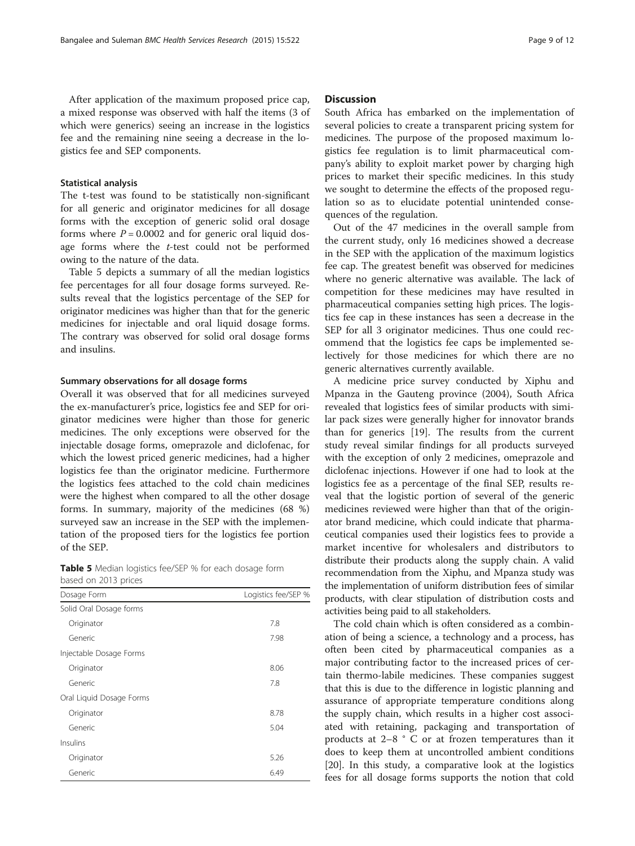<span id="page-8-0"></span>After application of the maximum proposed price cap, a mixed response was observed with half the items (3 of which were generics) seeing an increase in the logistics fee and the remaining nine seeing a decrease in the logistics fee and SEP components.

# Statistical analysis

The t-test was found to be statistically non-significant for all generic and originator medicines for all dosage forms with the exception of generic solid oral dosage forms where  $P = 0.0002$  and for generic oral liquid dosage forms where the *t*-test could not be performed owing to the nature of the data.

Table 5 depicts a summary of all the median logistics fee percentages for all four dosage forms surveyed. Results reveal that the logistics percentage of the SEP for originator medicines was higher than that for the generic medicines for injectable and oral liquid dosage forms. The contrary was observed for solid oral dosage forms and insulins.

## Summary observations for all dosage forms

Overall it was observed that for all medicines surveyed the ex-manufacturer's price, logistics fee and SEP for originator medicines were higher than those for generic medicines. The only exceptions were observed for the injectable dosage forms, omeprazole and diclofenac, for which the lowest priced generic medicines, had a higher logistics fee than the originator medicine. Furthermore the logistics fees attached to the cold chain medicines were the highest when compared to all the other dosage forms. In summary, majority of the medicines (68 %) surveyed saw an increase in the SEP with the implementation of the proposed tiers for the logistics fee portion of the SEP.

| <b>Table 5</b> Median logistics fee/SEP % for each dosage form |  |  |  |
|----------------------------------------------------------------|--|--|--|
| based on 2013 prices                                           |  |  |  |

| Dosage Form              | Logistics fee/SEP % |  |  |  |  |  |
|--------------------------|---------------------|--|--|--|--|--|
| Solid Oral Dosage forms  |                     |  |  |  |  |  |
| Originator               | 7.8                 |  |  |  |  |  |
| Generic                  | 7.98                |  |  |  |  |  |
| Injectable Dosage Forms  |                     |  |  |  |  |  |
| Originator               | 8.06                |  |  |  |  |  |
| Generic                  | 7.8                 |  |  |  |  |  |
| Oral Liquid Dosage Forms |                     |  |  |  |  |  |
| Originator               | 8.78                |  |  |  |  |  |
| Generic                  | 5.04                |  |  |  |  |  |
| Insulins                 |                     |  |  |  |  |  |
| Originator               | 5.26                |  |  |  |  |  |
| Generic                  | 6.49                |  |  |  |  |  |

# **Discussion**

South Africa has embarked on the implementation of several policies to create a transparent pricing system for medicines. The purpose of the proposed maximum logistics fee regulation is to limit pharmaceutical company's ability to exploit market power by charging high prices to market their specific medicines. In this study we sought to determine the effects of the proposed regulation so as to elucidate potential unintended consequences of the regulation.

Out of the 47 medicines in the overall sample from the current study, only 16 medicines showed a decrease in the SEP with the application of the maximum logistics fee cap. The greatest benefit was observed for medicines where no generic alternative was available. The lack of competition for these medicines may have resulted in pharmaceutical companies setting high prices. The logistics fee cap in these instances has seen a decrease in the SEP for all 3 originator medicines. Thus one could recommend that the logistics fee caps be implemented selectively for those medicines for which there are no generic alternatives currently available.

A medicine price survey conducted by Xiphu and Mpanza in the Gauteng province (2004), South Africa revealed that logistics fees of similar products with similar pack sizes were generally higher for innovator brands than for generics [[19](#page-10-0)]. The results from the current study reveal similar findings for all products surveyed with the exception of only 2 medicines, omeprazole and diclofenac injections. However if one had to look at the logistics fee as a percentage of the final SEP, results reveal that the logistic portion of several of the generic medicines reviewed were higher than that of the originator brand medicine, which could indicate that pharmaceutical companies used their logistics fees to provide a market incentive for wholesalers and distributors to distribute their products along the supply chain. A valid recommendation from the Xiphu, and Mpanza study was the implementation of uniform distribution fees of similar products, with clear stipulation of distribution costs and activities being paid to all stakeholders.

The cold chain which is often considered as a combination of being a science, a technology and a process, has often been cited by pharmaceutical companies as a major contributing factor to the increased prices of certain thermo-labile medicines. These companies suggest that this is due to the difference in logistic planning and assurance of appropriate temperature conditions along the supply chain, which results in a higher cost associated with retaining, packaging and transportation of products at 2–8 ° C or at frozen temperatures than it does to keep them at uncontrolled ambient conditions [[20\]](#page-11-0). In this study, a comparative look at the logistics fees for all dosage forms supports the notion that cold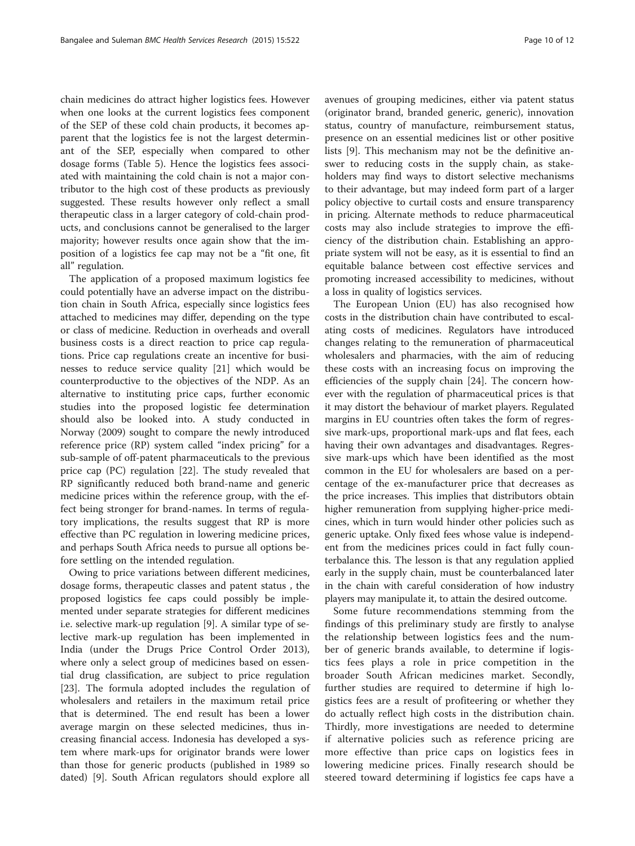chain medicines do attract higher logistics fees. However when one looks at the current logistics fees component of the SEP of these cold chain products, it becomes apparent that the logistics fee is not the largest determinant of the SEP, especially when compared to other dosage forms (Table [5](#page-8-0)). Hence the logistics fees associated with maintaining the cold chain is not a major contributor to the high cost of these products as previously suggested. These results however only reflect a small therapeutic class in a larger category of cold-chain products, and conclusions cannot be generalised to the larger majority; however results once again show that the imposition of a logistics fee cap may not be a "fit one, fit

all" regulation. The application of a proposed maximum logistics fee could potentially have an adverse impact on the distribution chain in South Africa, especially since logistics fees attached to medicines may differ, depending on the type or class of medicine. Reduction in overheads and overall business costs is a direct reaction to price cap regulations. Price cap regulations create an incentive for businesses to reduce service quality [[21\]](#page-11-0) which would be counterproductive to the objectives of the NDP. As an alternative to instituting price caps, further economic studies into the proposed logistic fee determination should also be looked into. A study conducted in Norway (2009) sought to compare the newly introduced reference price (RP) system called "index pricing" for a sub-sample of off-patent pharmaceuticals to the previous price cap (PC) regulation [[22\]](#page-11-0). The study revealed that RP significantly reduced both brand-name and generic medicine prices within the reference group, with the effect being stronger for brand-names. In terms of regulatory implications, the results suggest that RP is more effective than PC regulation in lowering medicine prices, and perhaps South Africa needs to pursue all options before settling on the intended regulation.

Owing to price variations between different medicines, dosage forms, therapeutic classes and patent status , the proposed logistics fee caps could possibly be implemented under separate strategies for different medicines i.e. selective mark-up regulation [[9\]](#page-10-0). A similar type of selective mark-up regulation has been implemented in India (under the Drugs Price Control Order 2013), where only a select group of medicines based on essential drug classification, are subject to price regulation [[23\]](#page-11-0). The formula adopted includes the regulation of wholesalers and retailers in the maximum retail price that is determined. The end result has been a lower average margin on these selected medicines, thus increasing financial access. Indonesia has developed a system where mark-ups for originator brands were lower than those for generic products (published in 1989 so dated) [\[9](#page-10-0)]. South African regulators should explore all

avenues of grouping medicines, either via patent status (originator brand, branded generic, generic), innovation status, country of manufacture, reimbursement status, presence on an essential medicines list or other positive lists [[9\]](#page-10-0). This mechanism may not be the definitive answer to reducing costs in the supply chain, as stakeholders may find ways to distort selective mechanisms to their advantage, but may indeed form part of a larger policy objective to curtail costs and ensure transparency in pricing. Alternate methods to reduce pharmaceutical costs may also include strategies to improve the efficiency of the distribution chain. Establishing an appropriate system will not be easy, as it is essential to find an equitable balance between cost effective services and promoting increased accessibility to medicines, without a loss in quality of logistics services.

The European Union (EU) has also recognised how costs in the distribution chain have contributed to escalating costs of medicines. Regulators have introduced changes relating to the remuneration of pharmaceutical wholesalers and pharmacies, with the aim of reducing these costs with an increasing focus on improving the efficiencies of the supply chain [[24](#page-11-0)]. The concern however with the regulation of pharmaceutical prices is that it may distort the behaviour of market players. Regulated margins in EU countries often takes the form of regressive mark-ups, proportional mark-ups and flat fees, each having their own advantages and disadvantages. Regressive mark-ups which have been identified as the most common in the EU for wholesalers are based on a percentage of the ex-manufacturer price that decreases as the price increases. This implies that distributors obtain higher remuneration from supplying higher-price medicines, which in turn would hinder other policies such as generic uptake. Only fixed fees whose value is independent from the medicines prices could in fact fully counterbalance this. The lesson is that any regulation applied early in the supply chain, must be counterbalanced later in the chain with careful consideration of how industry players may manipulate it, to attain the desired outcome.

Some future recommendations stemming from the findings of this preliminary study are firstly to analyse the relationship between logistics fees and the number of generic brands available, to determine if logistics fees plays a role in price competition in the broader South African medicines market. Secondly, further studies are required to determine if high logistics fees are a result of profiteering or whether they do actually reflect high costs in the distribution chain. Thirdly, more investigations are needed to determine if alternative policies such as reference pricing are more effective than price caps on logistics fees in lowering medicine prices. Finally research should be steered toward determining if logistics fee caps have a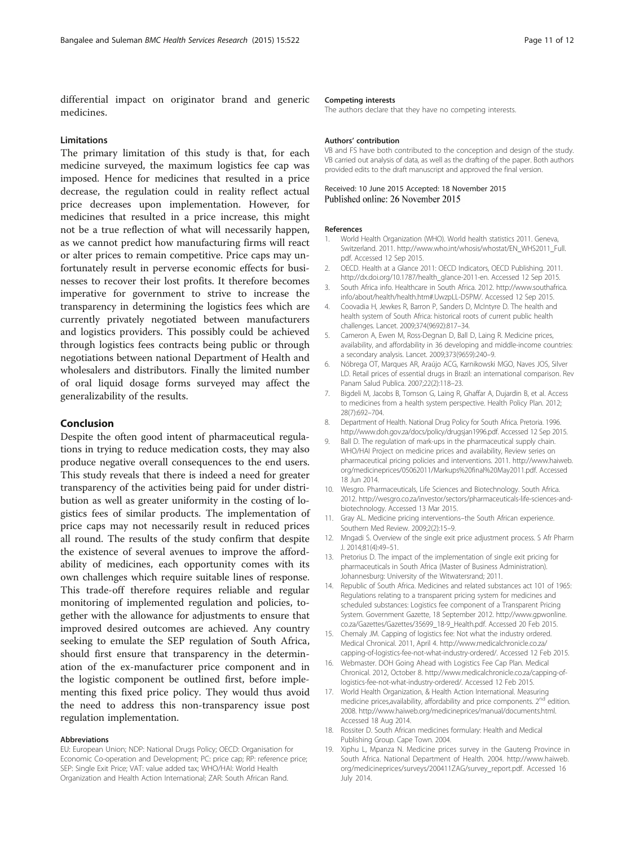<span id="page-10-0"></span>differential impact on originator brand and generic medicines.

# Limitations

The primary limitation of this study is that, for each medicine surveyed, the maximum logistics fee cap was imposed. Hence for medicines that resulted in a price decrease, the regulation could in reality reflect actual price decreases upon implementation. However, for medicines that resulted in a price increase, this might not be a true reflection of what will necessarily happen, as we cannot predict how manufacturing firms will react or alter prices to remain competitive. Price caps may unfortunately result in perverse economic effects for businesses to recover their lost profits. It therefore becomes imperative for government to strive to increase the transparency in determining the logistics fees which are currently privately negotiated between manufacturers and logistics providers. This possibly could be achieved through logistics fees contracts being public or through negotiations between national Department of Health and wholesalers and distributors. Finally the limited number of oral liquid dosage forms surveyed may affect the generalizability of the results.

# Conclusion

Despite the often good intent of pharmaceutical regulations in trying to reduce medication costs, they may also produce negative overall consequences to the end users. This study reveals that there is indeed a need for greater transparency of the activities being paid for under distribution as well as greater uniformity in the costing of logistics fees of similar products. The implementation of price caps may not necessarily result in reduced prices all round. The results of the study confirm that despite the existence of several avenues to improve the affordability of medicines, each opportunity comes with its own challenges which require suitable lines of response. This trade-off therefore requires reliable and regular monitoring of implemented regulation and policies, together with the allowance for adjustments to ensure that improved desired outcomes are achieved. Any country seeking to emulate the SEP regulation of South Africa, should first ensure that transparency in the determination of the ex-manufacturer price component and in the logistic component be outlined first, before implementing this fixed price policy. They would thus avoid the need to address this non-transparency issue post regulation implementation.

#### Abbreviations

EU: European Union; NDP: National Drugs Policy; OECD: Organisation for Economic Co-operation and Development; PC: price cap; RP: reference price; SEP: Single Exit Price; VAT: value added tax; WHO/HAI: World Health Organization and Health Action International; ZAR: South African Rand.

#### Competing interests

The authors declare that they have no competing interests.

#### Authors' contribution

VB and FS have both contributed to the conception and design of the study. VB carried out analysis of data, as well as the drafting of the paper. Both authors provided edits to the draft manuscript and approved the final version.

## Received: 10 June 2015 Accepted: 18 November 2015 Published online: 26 November 2015

#### References

- 1. World Health Organization (WHO). World health statistics 2011. Geneva, Switzerland. 2011. [http://www.who.int/whosis/whostat/EN\\_WHS2011\\_Full.](http://www.who.int/whosis/whostat/EN_WHS2011_Full.pdf) [pdf](http://www.who.int/whosis/whostat/EN_WHS2011_Full.pdf). Accessed 12 Sep 2015.
- 2. OECD. Health at a Glance 2011: OECD Indicators, OECD Publishing. 2011. [http://dx.doi.org/10.1787/health\\_glance-2011-en.](http://dx.doi.org/10.1787/health_glance-2011-en) Accessed 12 Sep 2015.
- 3. South Africa info. Healthcare in South Africa. 2012. [http://www.southafrica.](http://www.southafrica.info/about/health/health.htm#.UwzpLL-D5PM/) [info/about/health/health.htm#.UwzpLL-D5PM/.](http://www.southafrica.info/about/health/health.htm#.UwzpLL-D5PM/) Accessed 12 Sep 2015.
- 4. Coovadia H, Jewkes R, Barron P, Sanders D, McIntyre D. The health and health system of South Africa: historical roots of current public health challenges. Lancet. 2009;374(9692):817–34.
- 5. Cameron A, Ewen M, Ross-Degnan D, Ball D, Laing R. Medicine prices, availability, and affordability in 36 developing and middle-income countries: a secondary analysis. Lancet. 2009;373(9659):240–9.
- 6. Nóbrega OT, Marques AR, Araújo ACG, Karnikowski MGO, Naves JOS, Silver LD. Retail prices of essential drugs in Brazil: an international comparison. Rev Panam Salud Publica. 2007;22(2):118–23.
- 7. Bigdeli M, Jacobs B, Tomson G, Laing R, Ghaffar A, Dujardin B, et al. Access to medicines from a health system perspective. Health Policy Plan. 2012; 28(7):692–704.
- 8. Department of Health. National Drug Policy for South Africa. Pretoria. 1996. <http://www.doh.gov.za/docs/policy/drugsjan1996.pdf>. Accessed 12 Sep 2015.
- 9. Ball D. The regulation of mark-ups in the pharmaceutical supply chain. WHO/HAI Project on medicine prices and availability, Review series on pharmaceutical pricing policies and interventions. 2011. [http://www.haiweb.](http://www.haiweb.org/medicineprices/05062011/Markups%20final%20May2011.pdf) [org/medicineprices/05062011/Markups%20final%20May2011.pdf.](http://www.haiweb.org/medicineprices/05062011/Markups%20final%20May2011.pdf) Accessed 18 Jun 2014.
- 10. Wesgro. Pharmaceuticals, Life Sciences and Biotechnology. South Africa. 2012. [http://wesgro.co.za/investor/sectors/pharmaceuticals-life-sciences-and](http://wesgro.co.za/investor/sectors/pharmaceuticals-life-sciences-and-biotechnology)[biotechnology](http://wesgro.co.za/investor/sectors/pharmaceuticals-life-sciences-and-biotechnology). Accessed 13 Mar 2015.
- 11. Gray AL. Medicine pricing interventions–the South African experience. Southern Med Review. 2009;2(2):15–9.
- 12. Mngadi S. Overview of the single exit price adjustment process. S Afr Pharm J. 2014;81(4):49–51.
- 13. Pretorius D. The impact of the implementation of single exit pricing for pharmaceuticals in South Africa (Master of Business Administration). Johannesburg: University of the Witwatersrand; 2011.
- 14. Republic of South Africa. Medicines and related substances act 101 of 1965: Regulations relating to a transparent pricing system for medicines and scheduled substances: Logistics fee component of a Transparent Pricing System. Government Gazette, 18 September 2012. [http://www.gpwonline.](http://www.gpwonline.co.za/Gazettes/Gazettes/35699_18-9_Health.pdf) [co.za/Gazettes/Gazettes/35699\\_18-9\\_Health.pdf](http://www.gpwonline.co.za/Gazettes/Gazettes/35699_18-9_Health.pdf). Accessed 20 Feb 2015.
- 15. Chemaly JM. Capping of logistics fee: Not what the industry ordered. Medical Chronical. 2011, April 4. [http://www.medicalchronicle.co.za/](http://www.medicalchronicle.co.za/capping-of-logistics-fee-not-what-industry-ordered/) [capping-of-logistics-fee-not-what-industry-ordered/.](http://www.medicalchronicle.co.za/capping-of-logistics-fee-not-what-industry-ordered/) Accessed 12 Feb 2015.
- 16. Webmaster. DOH Going Ahead with Logistics Fee Cap Plan. Medical Chronical. 2012, October 8. [http://www.medicalchronicle.co.za/capping-of](http://www.medicalchronicle.co.za/capping-of-logistics-fee-not-what-industry-ordered/)[logistics-fee-not-what-industry-ordered/.](http://www.medicalchronicle.co.za/capping-of-logistics-fee-not-what-industry-ordered/) Accessed 12 Feb 2015.
- 17. World Health Organization, & Health Action International. Measuring medicine prices, availability, affordability and price components.  $2<sup>nd</sup>$  edition. 2008. [http://www.haiweb.org/medicineprices/manual/documents.html.](http://www.haiweb.org/medicineprices/manual/documents.html) Accessed 18 Aug 2014.
- 18. Rossiter D. South African medicines formulary: Health and Medical Publishing Group. Cape Town. 2004.
- 19. Xiphu L, Mpanza N. Medicine prices survey in the Gauteng Province in South Africa. National Department of Health. 2004. [http://www.haiweb.](http://www.haiweb.org/medicineprices/surveys/200411ZAG/survey_report.pdf) [org/medicineprices/surveys/200411ZAG/survey\\_report.pdf](http://www.haiweb.org/medicineprices/surveys/200411ZAG/survey_report.pdf). Accessed 16 July 2014.